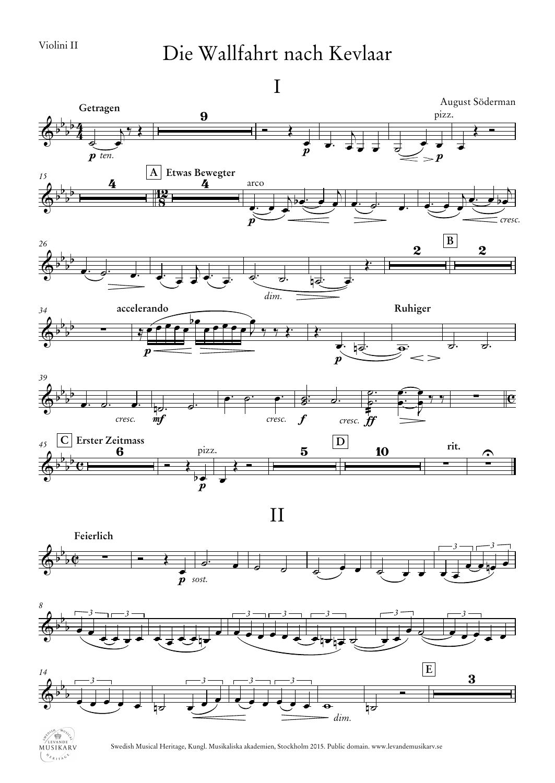## Die Wallfahrt nach Kevlaar

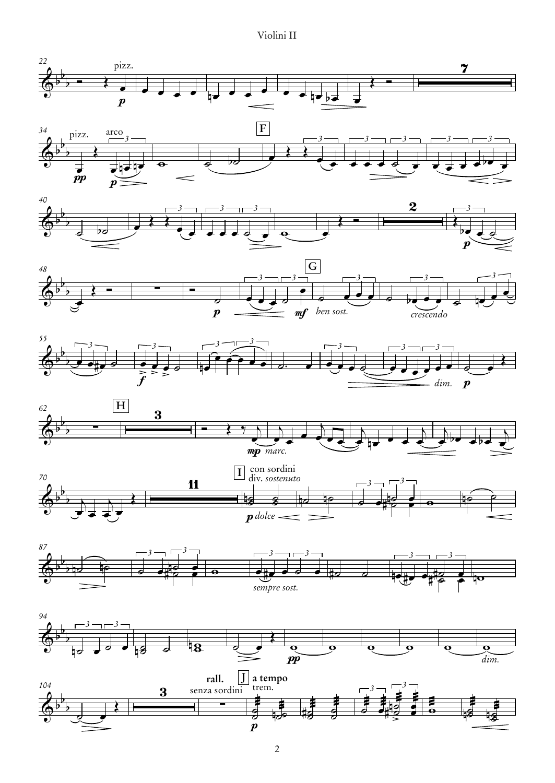Violini II